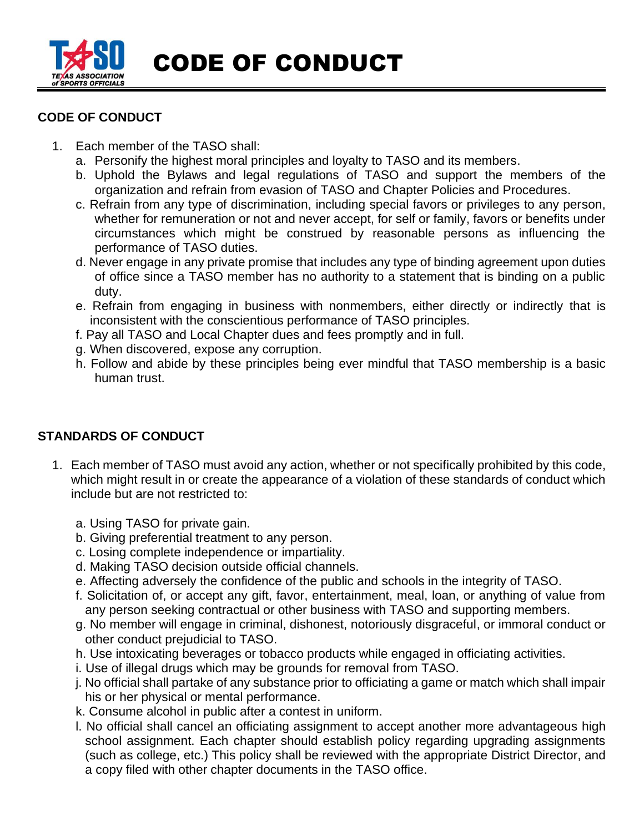

CODE OF CONDUCT

## **CODE OF CONDUCT**

- 1. Each member of the TASO shall:
	- a. Personify the highest moral principles and loyalty to TASO and its members.
	- b. Uphold the Bylaws and legal regulations of TASO and support the members of the organization and refrain from evasion of TASO and Chapter Policies and Procedures.
	- c. Refrain from any type of discrimination, including special favors or privileges to any person, whether for remuneration or not and never accept, for self or family, favors or benefits under circumstances which might be construed by reasonable persons as influencing the performance of TASO duties.
	- d. Never engage in any private promise that includes any type of binding agreement upon duties of office since a TASO member has no authority to a statement that is binding on a public duty.
	- e. Refrain from engaging in business with nonmembers, either directly or indirectly that is inconsistent with the conscientious performance of TASO principles.
	- f. Pay all TASO and Local Chapter dues and fees promptly and in full.
	- g. When discovered, expose any corruption.
	- h. Follow and abide by these principles being ever mindful that TASO membership is a basic human trust.

## **STANDARDS OF CONDUCT**

- 1. Each member of TASO must avoid any action, whether or not specifically prohibited by this code, which might result in or create the appearance of a violation of these standards of conduct which include but are not restricted to:
	- a. Using TASO for private gain.
	- b. Giving preferential treatment to any person.
	- c. Losing complete independence or impartiality.
	- d. Making TASO decision outside official channels.
	- e. Affecting adversely the confidence of the public and schools in the integrity of TASO.
	- f. Solicitation of, or accept any gift, favor, entertainment, meal, loan, or anything of value from any person seeking contractual or other business with TASO and supporting members.
	- g. No member will engage in criminal, dishonest, notoriously disgraceful, or immoral conduct or other conduct prejudicial to TASO.
	- h. Use intoxicating beverages or tobacco products while engaged in officiating activities.
	- i. Use of illegal drugs which may be grounds for removal from TASO.
	- j. No official shall partake of any substance prior to officiating a game or match which shall impair his or her physical or mental performance.
	- k. Consume alcohol in public after a contest in uniform.
	- l. No official shall cancel an officiating assignment to accept another more advantageous high school assignment. Each chapter should establish policy regarding upgrading assignments (such as college, etc.) This policy shall be reviewed with the appropriate District Director, and a copy filed with other chapter documents in the TASO office.